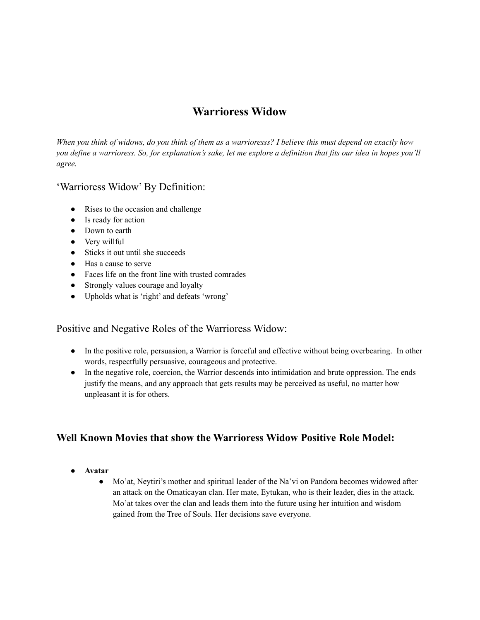# **Warrioress Widow**

*When you think of widows, do you think of them as a warrioresss? I believe this must depend on exactly how you define a warrioress. So, for explanation's sake, let me explore a definition that fits our idea in hopes you'll agree.*

### 'Warrioress Widow' By Definition:

- Rises to the occasion and challenge
- Is ready for action
- Down to earth
- Very willful
- Sticks it out until she succeeds
- Has a cause to serve
- Faces life on the front line with trusted comrades
- Strongly values courage and loyalty
- Upholds what is 'right' and defeats 'wrong'

### Positive and Negative Roles of the Warrioress Widow:

- In the positive role, persuasion, a Warrior is forceful and effective without being overbearing. In other words, respectfully persuasive, courageous and protective.
- In the negative role, coercion, the Warrior descends into intimidation and brute oppression. The ends justify the means, and any approach that gets results may be perceived as useful, no matter how unpleasant it is for others.

# **Well Known Movies that show the Warrioress Widow Positive Role Model:**

- **● Avatar**
	- Mo'at, Neytiri's mother and spiritual leader of the Na'vi on Pandora becomes widowed after an attack on the Omaticayan clan. Her mate, Eytukan, who is their leader, dies in the attack. Mo'at takes over the clan and leads them into the future using her intuition and wisdom gained from the Tree of Souls. Her decisions save everyone.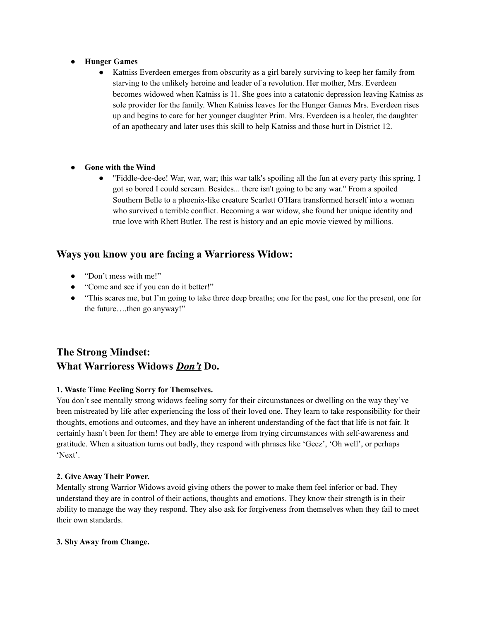- **● Hunger Games**
	- Katniss Everdeen emerges from obscurity as a girl barely surviving to keep her family from starving to the unlikely heroine and leader of a revolution. Her mother, Mrs. Everdeen becomes widowed when Katniss is 11. She goes into a catatonic depression leaving Katniss as sole provider for the family. When Katniss leaves for the Hunger Games Mrs. Everdeen rises up and begins to care for her younger daughter Prim. Mrs. Everdeen is a healer, the daughter of an apothecary and later uses this skill to help Katniss and those hurt in District 12.
- **● Gone with the Wind**
	- "Fiddle-dee-dee! War, war, war; this war talk's spoiling all the fun at every party this spring. I got so bored I could scream. Besides... there isn't going to be any war." From a spoiled Southern Belle to a phoenix-like creature Scarlett O'Hara transformed herself into a woman who survived a terrible conflict. Becoming a war widow, she found her unique identity and true love with Rhett Butler. The rest is history and an epic movie viewed by millions.

# **Ways you know you are facing a Warrioress Widow:**

- "Don't mess with me!"
- "Come and see if you can do it better!"
- "This scares me, but I'm going to take three deep breaths; one for the past, one for the present, one for the future….then go anyway!"

# **The Strong Mindset: What Warrioress Widows** *Don't* **Do.**

### **1. Waste Time Feeling Sorry for Themselves.**

You don't see mentally strong widows feeling sorry for their circumstances or dwelling on the way they've been mistreated by life after experiencing the loss of their loved one. They learn to take responsibility for their thoughts, emotions and outcomes, and they have an inherent understanding of the fact that life is not fair. It certainly hasn't been for them! They are able to emerge from trying circumstances with self-awareness and gratitude. When a situation turns out badly, they respond with phrases like 'Geez', 'Oh well', or perhaps 'Next'.

#### **2. Give Away Their Power.**

Mentally strong Warrior Widows avoid giving others the power to make them feel inferior or bad. They understand they are in control of their actions, thoughts and emotions. They know their strength is in their ability to manage the way they respond. They also ask for forgiveness from themselves when they fail to meet their own standards.

#### **3. Shy Away from Change.**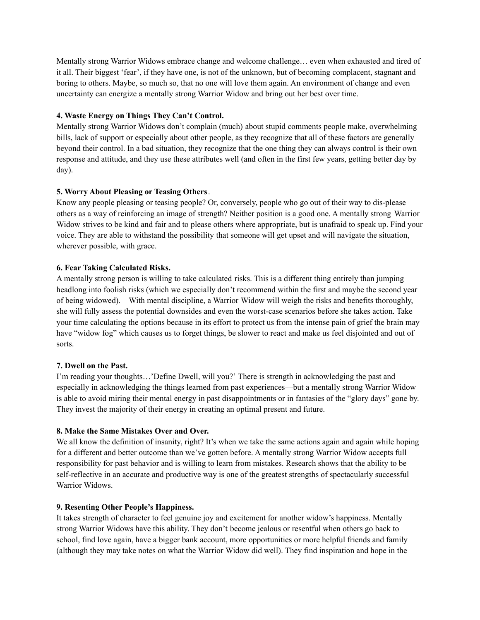Mentally strong Warrior Widows embrace change and welcome challenge… even when exhausted and tired of it all. Their biggest 'fear', if they have one, is not of the unknown, but of becoming complacent, stagnant and boring to others. Maybe, so much so, that no one will love them again. An environment of change and even uncertainty can energize a mentally strong Warrior Widow and bring out her best over time.

#### **4. Waste Energy on Things They Can't Control.**

Mentally strong Warrior Widows don't complain (much) about stupid comments people make, overwhelming bills, lack of support or especially about other people, as they recognize that all of these factors are generally beyond their control. In a bad situation, they recognize that the one thing they can always control is their own response and attitude, and they use these attributes well (and often in the first few years, getting better day by day).

### **5. Worry About Pleasing or Teasing Others**.

Know any people pleasing or teasing people? Or, conversely, people who go out of their way to dis-please others as a way of reinforcing an image of strength? Neither position is a good one. A mentally strong Warrior Widow strives to be kind and fair and to please others where appropriate, but is unafraid to speak up. Find your voice. They are able to withstand the possibility that someone will get upset and will navigate the situation, wherever possible, with grace.

#### **6. Fear Taking Calculated Risks.**

A mentally strong person is willing to take calculated risks. This is a different thing entirely than jumping headlong into foolish risks (which we especially don't recommend within the first and maybe the second year of being widowed). With mental discipline, a Warrior Widow will weigh the risks and benefits thoroughly, she will fully assess the potential downsides and even the worst-case scenarios before she takes action. Take your time calculating the options because in its effort to protect us from the intense pain of grief the brain may have "widow fog" which causes us to forget things, be slower to react and make us feel disjointed and out of sorts.

#### **7. Dwell on the Past.**

I'm reading your thoughts…'Define Dwell, will you?' There is strength in acknowledging the past and especially in acknowledging the things learned from past experiences—but a mentally strong Warrior Widow is able to avoid miring their mental energy in past disappointments or in fantasies of the "glory days" gone by. They invest the majority of their energy in creating an optimal present and future.

#### **8. Make the Same Mistakes Over and Over.**

We all know the definition of insanity, right? It's when we take the same actions again and again while hoping for a different and better outcome than we've gotten before. A mentally strong Warrior Widow accepts full responsibility for past behavior and is willing to learn from mistakes. Research shows that the ability to be self-reflective in an accurate and productive way is one of the greatest strengths of spectacularly successful Warrior Widows.

#### **9. Resenting Other People's Happiness.**

It takes strength of character to feel genuine joy and excitement for another widow's happiness. Mentally strong Warrior Widows have this ability. They don't become jealous or resentful when others go back to school, find love again, have a bigger bank account, more opportunities or more helpful friends and family (although they may take notes on what the Warrior Widow did well). They find inspiration and hope in the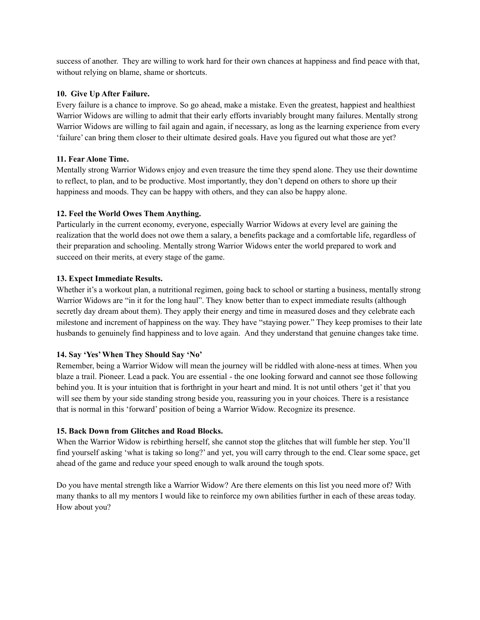success of another. They are willing to work hard for their own chances at happiness and find peace with that, without relying on blame, shame or shortcuts.

#### **10. Give Up After Failure.**

Every failure is a chance to improve. So go ahead, make a mistake. Even the greatest, happiest and healthiest Warrior Widows are willing to admit that their early efforts invariably brought many failures. Mentally strong Warrior Widows are willing to fail again and again, if necessary, as long as the learning experience from every 'failure' can bring them closer to their ultimate desired goals. Have you figured out what those are yet?

#### **11. Fear Alone Time.**

Mentally strong Warrior Widows enjoy and even treasure the time they spend alone. They use their downtime to reflect, to plan, and to be productive. Most importantly, they don't depend on others to shore up their happiness and moods. They can be happy with others, and they can also be happy alone.

### **12. Feel the World Owes Them Anything.**

Particularly in the current economy, everyone, especially Warrior Widows at every level are gaining the realization that the world does not owe them a salary, a benefits package and a comfortable life, regardless of their preparation and schooling. Mentally strong Warrior Widows enter the world prepared to work and succeed on their merits, at every stage of the game.

#### **13. Expect Immediate Results.**

Whether it's a workout plan, a nutritional regimen, going back to school or starting a business, mentally strong Warrior Widows are "in it for the long haul". They know better than to expect immediate results (although secretly day dream about them). They apply their energy and time in measured doses and they celebrate each milestone and increment of happiness on the way. They have "staying power." They keep promises to their late husbands to genuinely find happiness and to love again. And they understand that genuine changes take time.

#### **14. Say 'Yes'When They Should Say 'No'**

Remember, being a Warrior Widow will mean the journey will be riddled with alone-ness at times. When you blaze a trail. Pioneer. Lead a pack. You are essential - the one looking forward and cannot see those following behind you. It is your intuition that is forthright in your heart and mind. It is not until others 'get it' that you will see them by your side standing strong beside you, reassuring you in your choices. There is a resistance that is normal in this 'forward' position of being a Warrior Widow. Recognize its presence.

#### **15. Back Down from Glitches and Road Blocks.**

When the Warrior Widow is rebirthing herself, she cannot stop the glitches that will fumble her step. You'll find yourself asking 'what is taking so long?' and yet, you will carry through to the end. Clear some space, get ahead of the game and reduce your speed enough to walk around the tough spots.

Do you have mental strength like a Warrior Widow? Are there elements on this list you need more of? With many thanks to all my mentors I would like to reinforce my own abilities further in each of these areas today. How about you?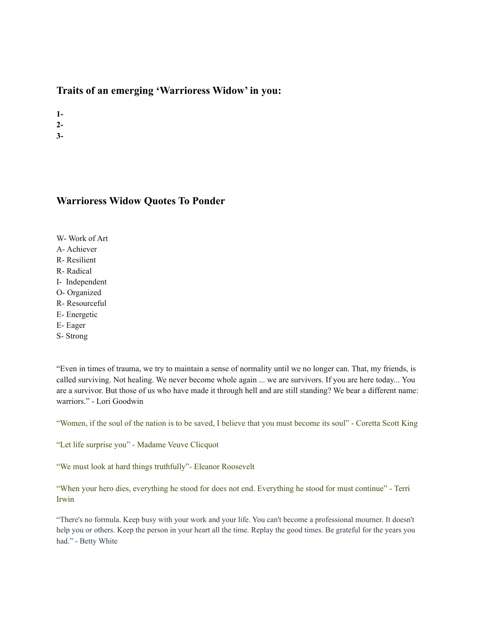## **Traits of an emerging 'Warrioress Widow' in you:**

**1-**

**2-**

**3-**

## **Warrioress Widow Quotes To Ponder**

W- Work of Art A- Achiever R- Resilient

R- Radical

I- Independent

O- Organized

R- Resourceful

E- Energetic

E- Eager

S- Strong

"Even in times of trauma, we try to maintain a sense of normality until we no longer can. That, my friends, is called surviving. Not healing. We never become whole again ... we are survivors. If you are here today... You are a survivor. But those of us who have made it through hell and are still standing? We bear a different name: warriors." - Lori Goodwin

"Women, if the soul of the nation is to be saved, I believe that you must become its soul" - Coretta Scott King

"Let life surprise you" - Madame Veuve Clicquot

"We must look at hard things truthfully"- Eleanor Roosevelt

"When your hero dies, everything he stood for does not end. Everything he stood for must continue" - Terri Irwin

"There's no formula. Keep busy with your work and your life. You can't become a professional mourner. It doesn't help you or others. Keep the person in your heart all the time. Replay the good times. Be grateful for the years you had." - Betty White